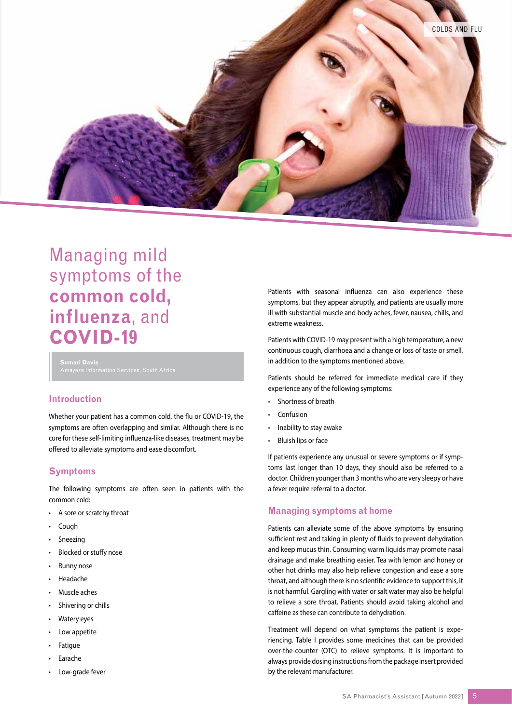

# Managing mild symptoms of the **common cold, influenza**, and **COVID-19**

**Sumari Davis**

# **Introduction**

Whether your patient has a common cold, the flu or COVID-19, the symptoms are often overlapping and similar. Although there is no cure for these self-limiting influenza-like diseases, treatment may be offered to alleviate symptoms and ease discomfort.

# **Symptoms**

The following symptoms are often seen in patients with the common cold:

- A sore or scratchy throat
- Cough
- **Sneezing**
- Blocked or stuffy nose
- Runny nose
- Headache
- Muscle aches
- Shivering or chills
- Watery eyes
- Low appetite
- **Fatigue**
- **Earache**
- Low-grade fever

Patients with seasonal influenza can also experience these symptoms, but they appear abruptly, and patients are usually more ill with substantial muscle and body aches, fever, nausea, chills, and extreme weakness.

Patients with COVID-19 may present with a high temperature, a new continuous cough, diarrhoea and a change or loss of taste or smell, in addition to the symptoms mentioned above.

Patients should be referred for immediate medical care if they experience any of the following symptoms:

- Shortness of breath
- **Confusion**
- Inability to stay awake
- Bluish lips or face

If patients experience any unusual or severe symptoms or if symptoms last longer than 10 days, they should also be referred to a doctor. Children younger than 3 months who are very sleepy or have a fever require referral to a doctor.

## **Managing symptoms at home**

Patients can alleviate some of the above symptoms by ensuring sufficient rest and taking in plenty of fluids to prevent dehydration and keep mucus thin. Consuming warm liquids may promote nasal drainage and make breathing easier. Tea with lemon and honey or other hot drinks may also help relieve congestion and ease a sore throat, and although there is no scientific evidence to support this, it is not harmful. Gargling with water or salt water may also be helpful to relieve a sore throat. Patients should avoid taking alcohol and caffeine as these can contribute to dehydration.

Treatment will depend on what symptoms the patient is experiencing. Table I provides some medicines that can be provided over-the-counter (OTC) to relieve symptoms. It is important to always provide dosing instructions from the package insert provided by the relevant manufacturer.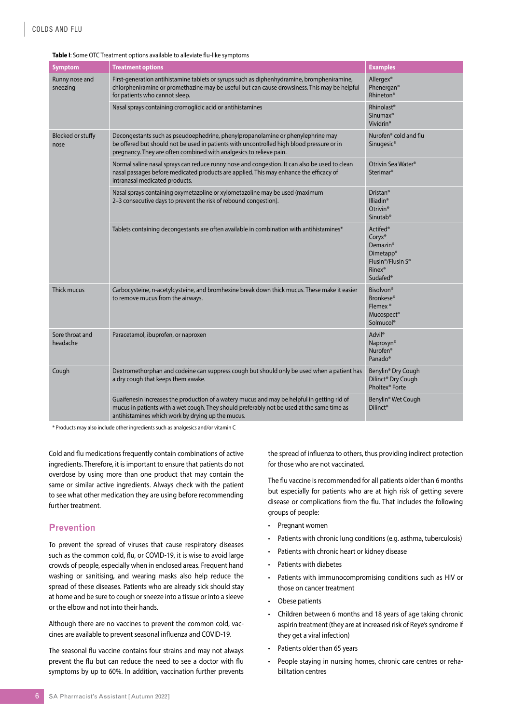| <b>Symptom</b>                   | <b>Treatment options</b>                                                                                                                                                                                                                            | <b>Examples</b>                                                                                                                                                                         |
|----------------------------------|-----------------------------------------------------------------------------------------------------------------------------------------------------------------------------------------------------------------------------------------------------|-----------------------------------------------------------------------------------------------------------------------------------------------------------------------------------------|
| Runny nose and<br>sneezing       | First-generation antihistamine tablets or syrups such as diphenhydramine, brompheniramine,<br>chlorpheniramine or promethazine may be useful but can cause drowsiness. This may be helpful<br>for patients who cannot sleep.                        | Allergex <sup>®</sup><br>Phenergan®<br><b>Rhineton®</b>                                                                                                                                 |
|                                  | Nasal sprays containing cromoglicic acid or antihistamines                                                                                                                                                                                          | Rhinolast <sup>®</sup><br>Sinumax <sup>®</sup><br>Vividrin <sup>®</sup>                                                                                                                 |
| <b>Blocked or stuffy</b><br>nose | Decongestants such as pseudoephedrine, phenylpropanolamine or phenylephrine may<br>be offered but should not be used in patients with uncontrolled high blood pressure or in<br>pregnancy. They are often combined with analgesics to relieve pain. | Nurofen <sup>®</sup> cold and flu<br>Sinugesic <sup>®</sup>                                                                                                                             |
|                                  | Normal saline nasal sprays can reduce runny nose and congestion. It can also be used to clean<br>nasal passages before medicated products are applied. This may enhance the efficacy of<br>intranasal medicated products.                           | Otrivin Sea Water <sup>®</sup><br>Sterimar <sup>®</sup>                                                                                                                                 |
|                                  | Nasal sprays containing oxymetazoline or xylometazoline may be used (maximum<br>2-3 consecutive days to prevent the risk of rebound congestion).                                                                                                    | Dristan <sup>®</sup><br>Illiadin <sup>®</sup><br>Otrivin <sup>®</sup><br>Sinutab <sup>®</sup>                                                                                           |
|                                  | Tablets containing decongestants are often available in combination with antihistamines*                                                                                                                                                            | Actifed <sup>®</sup><br>Coryx <sup>®</sup><br>Demazin <sup>®</sup><br>Dimetapp <sup>®</sup><br>Flusin <sup>®</sup> /Flusin S <sup>®</sup><br>Rinex <sup>®</sup><br>Sudafed <sup>®</sup> |
| Thick mucus                      | Carbocysteine, n-acetylcysteine, and bromhexine break down thick mucus. These make it easier<br>to remove mucus from the airways.                                                                                                                   | <b>Bisolvon®</b><br><b>Bronkese®</b><br>Flemex <sup>®</sup><br>Mucospect®<br>Solmucol®                                                                                                  |
| Sore throat and<br>headache      | Paracetamol, ibuprofen, or naproxen                                                                                                                                                                                                                 | Advil <sup>®</sup><br>Naprosyn <sup>®</sup><br>Nurofen <sup>®</sup><br>Panado <sup>®</sup>                                                                                              |
| Cough                            | Dextromethorphan and codeine can suppress cough but should only be used when a patient has<br>a dry cough that keeps them awake.                                                                                                                    | Benylin <sup>®</sup> Dry Cough<br>Dilinct <sup>®</sup> Dry Cough<br>Pholtex <sup>®</sup> Forte                                                                                          |
|                                  | Guaifenesin increases the production of a watery mucus and may be helpful in getting rid of<br>mucus in patients with a wet cough. They should preferably not be used at the same time as<br>antihistamines which work by drying up the mucus.      | Benylin <sup>®</sup> Wet Cough<br>Dilinct <sup>®</sup>                                                                                                                                  |

#### **Table I**: Some OTC Treatment options available to alleviate flu-like symptoms

\* Products may also include other ingredients such as analgesics and/or vitamin C

Cold and flu medications frequently contain combinations of active ingredients. Therefore, it is important to ensure that patients do not overdose by using more than one product that may contain the same or similar active ingredients. Always check with the patient to see what other medication they are using before recommending further treatment.

## **Prevention**

To prevent the spread of viruses that cause respiratory diseases such as the common cold, flu, or COVID-19, it is wise to avoid large crowds of people, especially when in enclosed areas. Frequent hand washing or sanitising, and wearing masks also help reduce the spread of these diseases. Patients who are already sick should stay at home and be sure to cough or sneeze into a tissue or into a sleeve or the elbow and not into their hands.

Although there are no vaccines to prevent the common cold, vaccines are available to prevent seasonal influenza and COVID-19.

The seasonal flu vaccine contains four strains and may not always prevent the flu but can reduce the need to see a doctor with flu symptoms by up to 60%. In addition, vaccination further prevents

the spread of influenza to others, thus providing indirect protection for those who are not vaccinated.

The flu vaccine is recommended for all patients older than 6 months but especially for patients who are at high risk of getting severe disease or complications from the flu. That includes the following groups of people:

- Pregnant women
- Patients with chronic lung conditions (e.g. asthma, tuberculosis)
- Patients with chronic heart or kidney disease
- Patients with diabetes
- Patients with immunocompromising conditions such as HIV or those on cancer treatment
- Obese patients
- Children between 6 months and 18 years of age taking chronic aspirin treatment (they are at increased risk of Reye's syndrome if they get a viral infection)
- Patients older than 65 years
- People staying in nursing homes, chronic care centres or rehabilitation centres